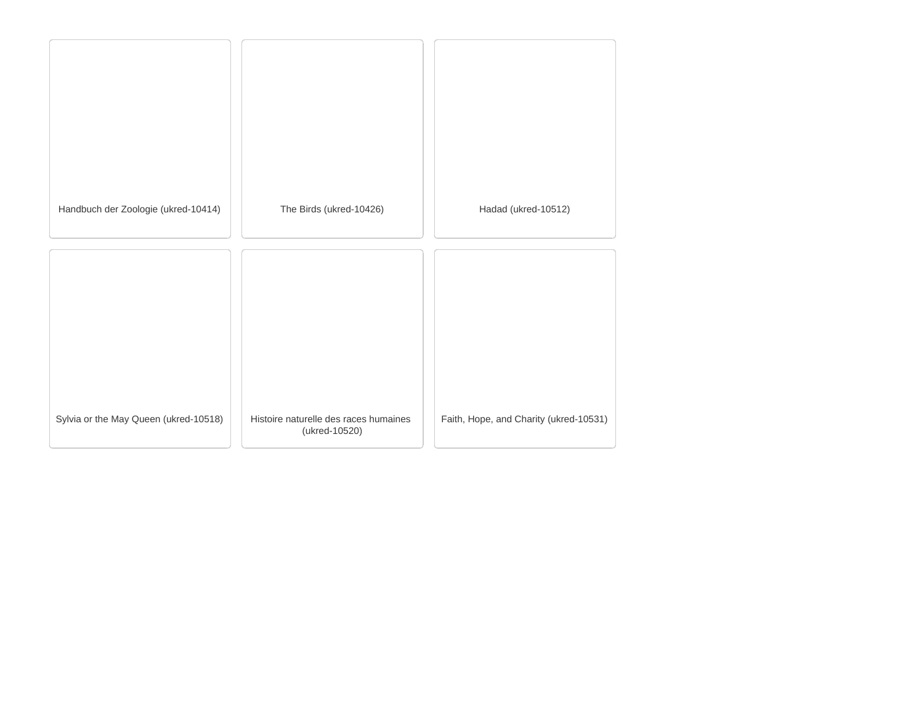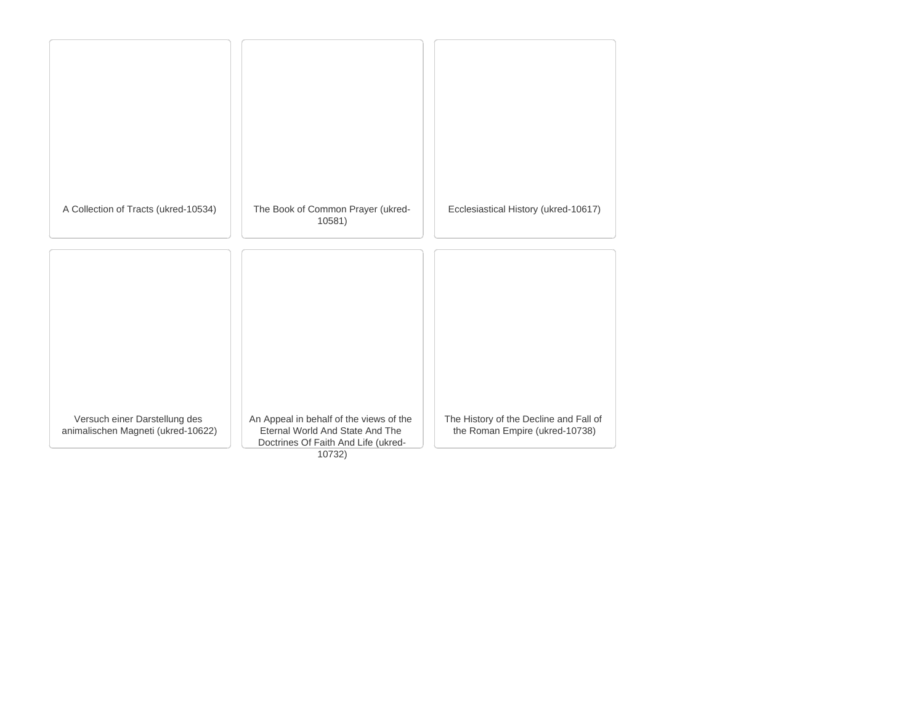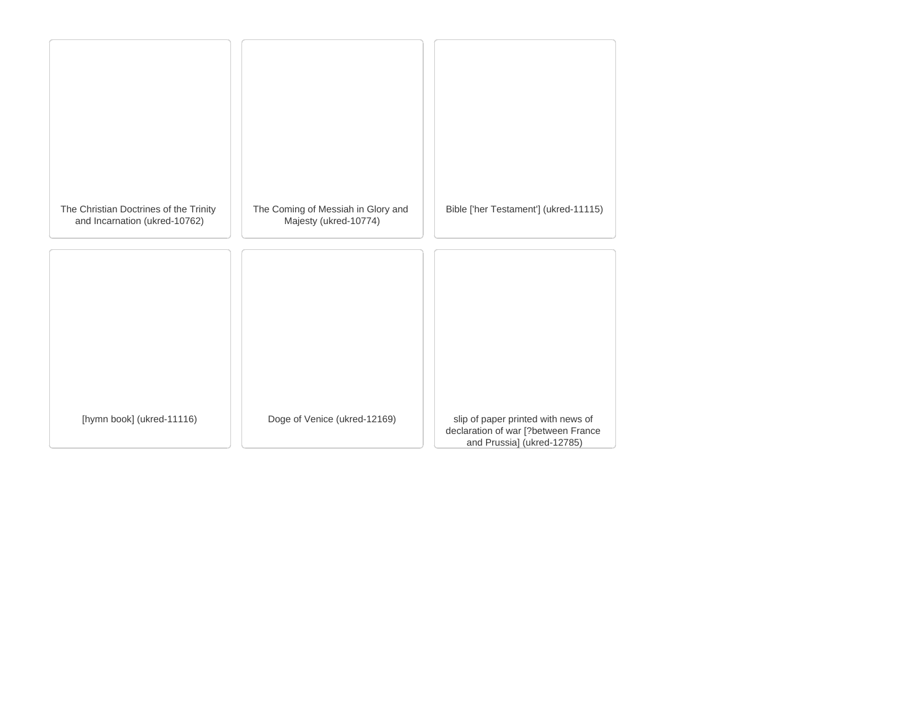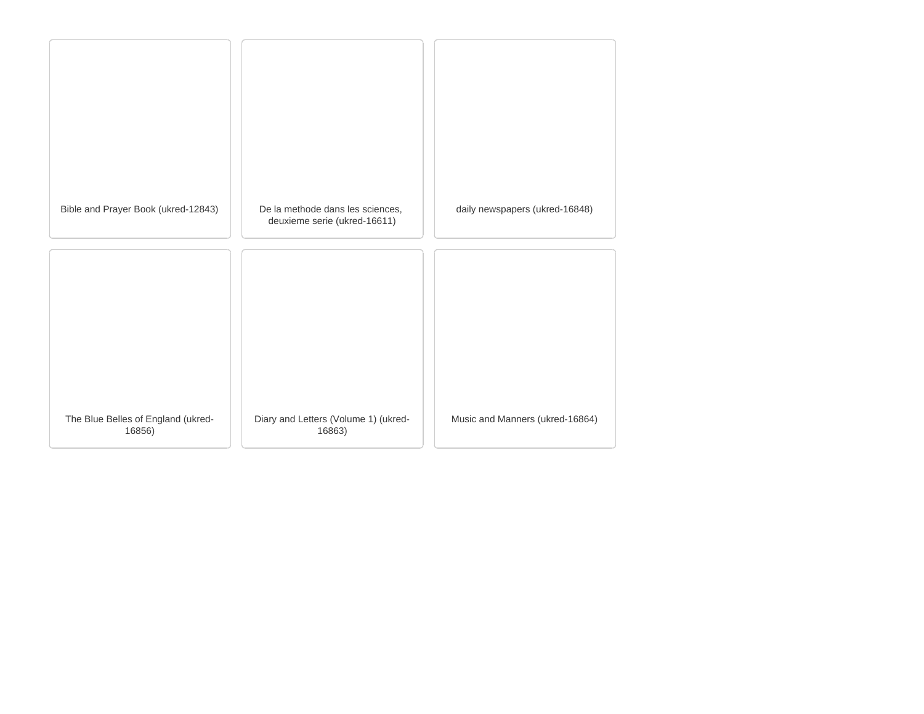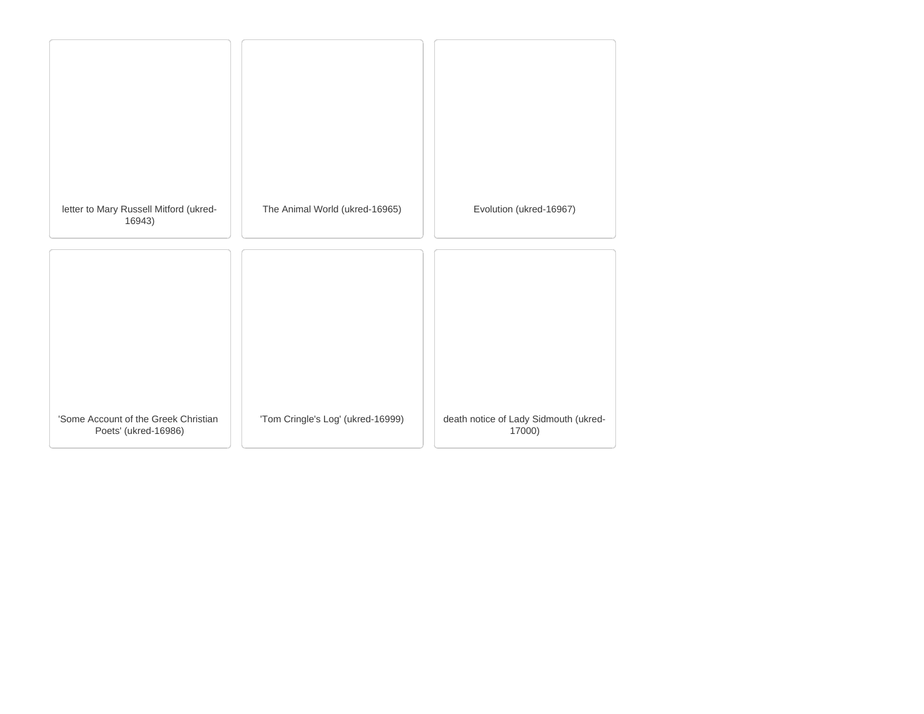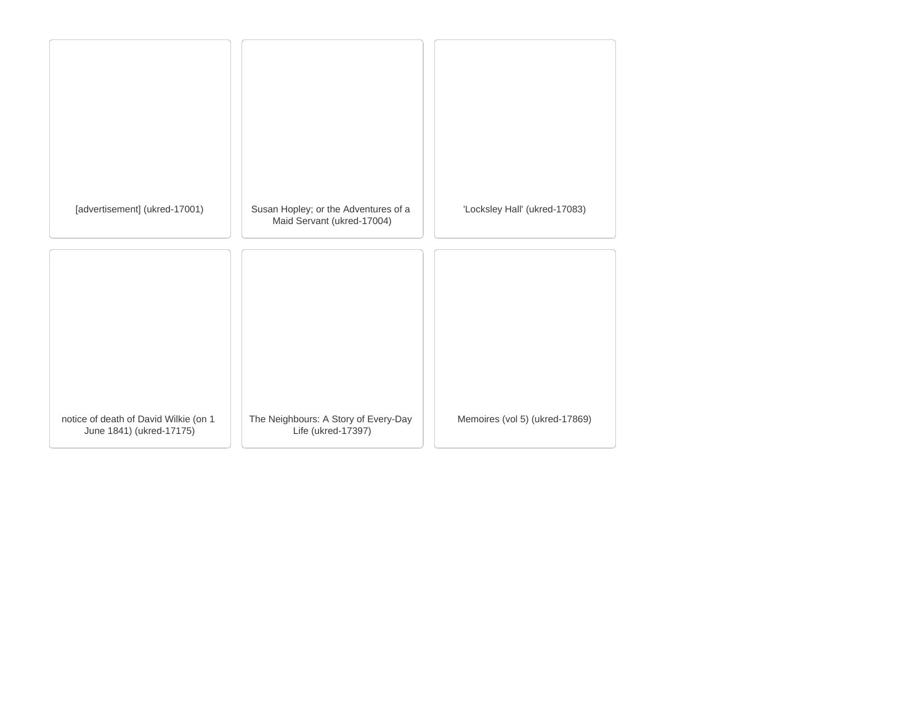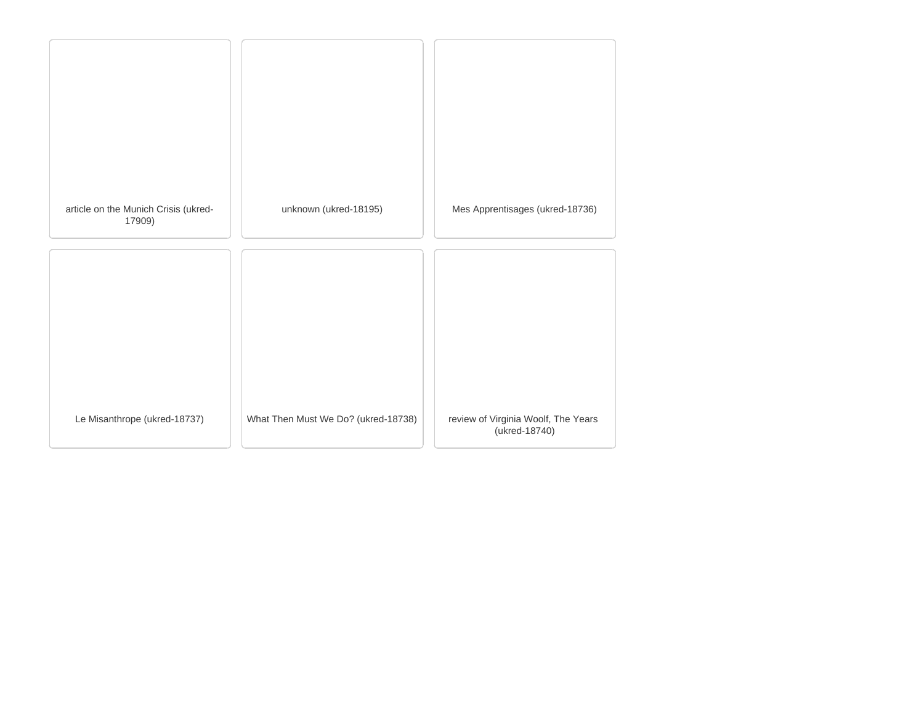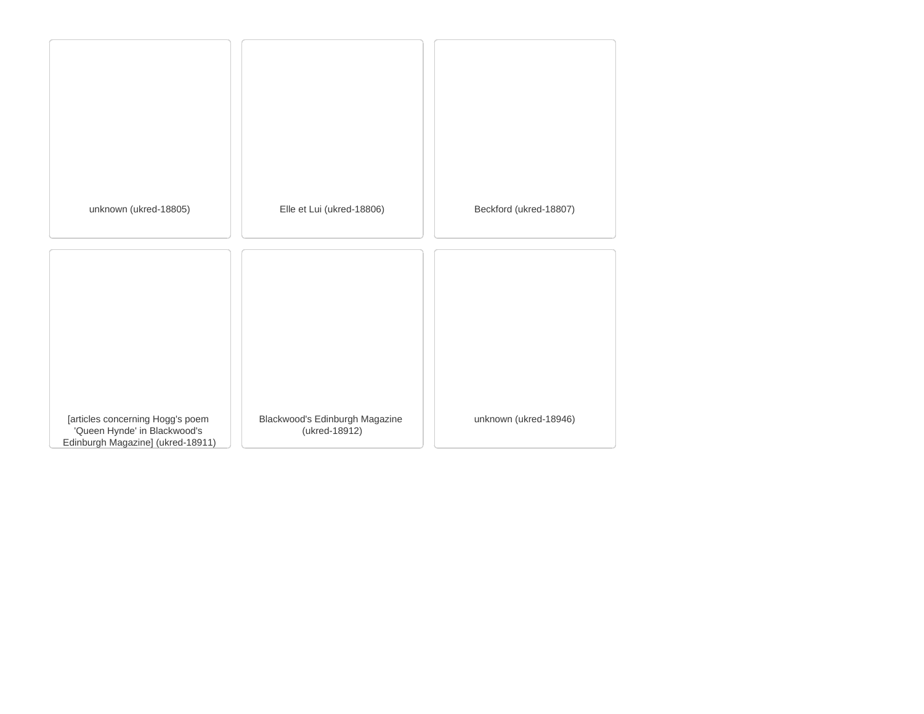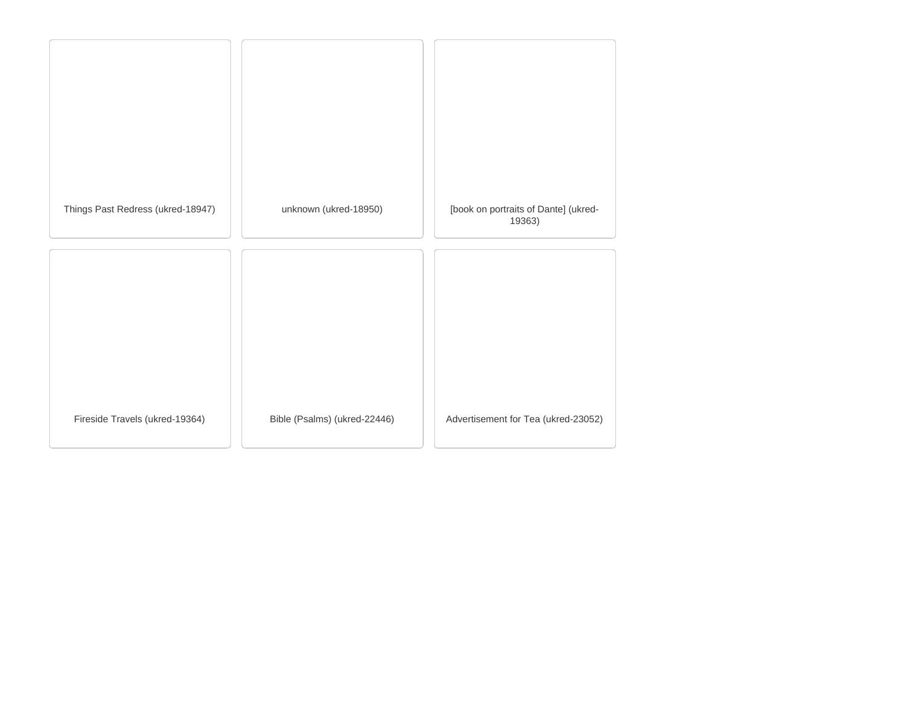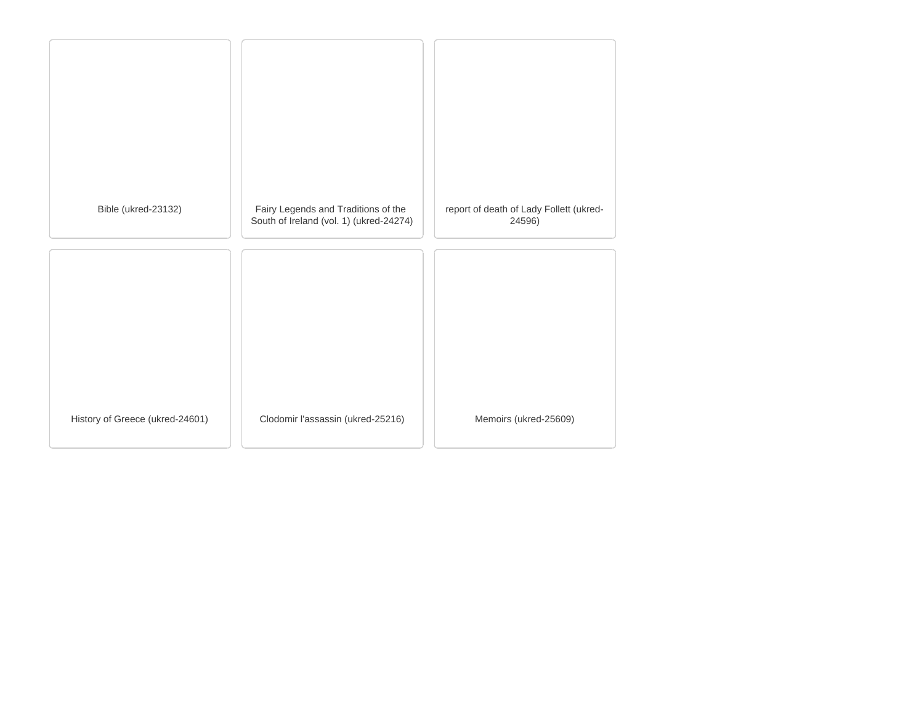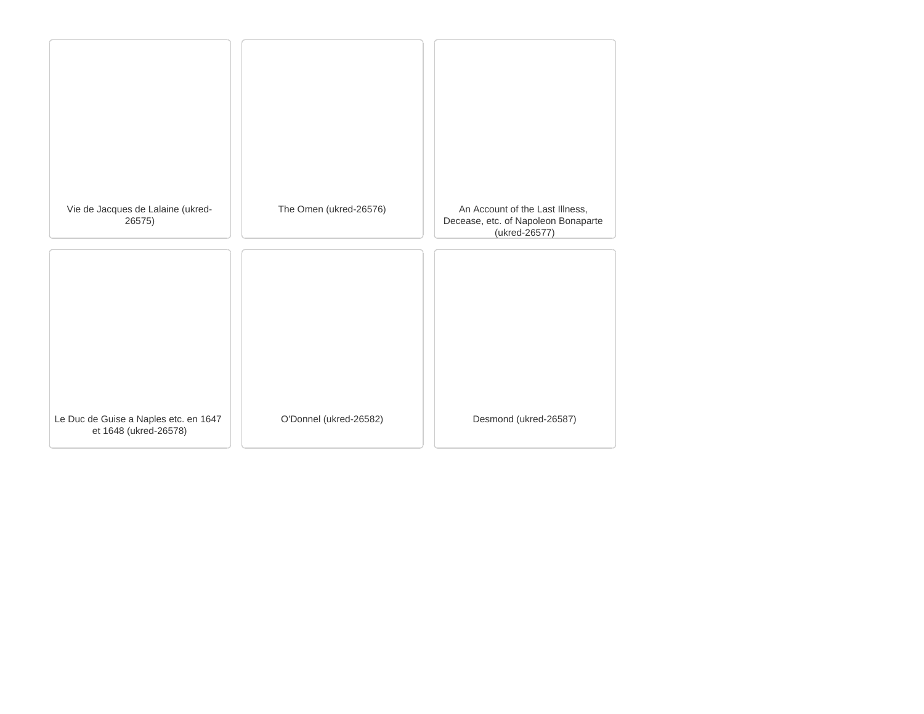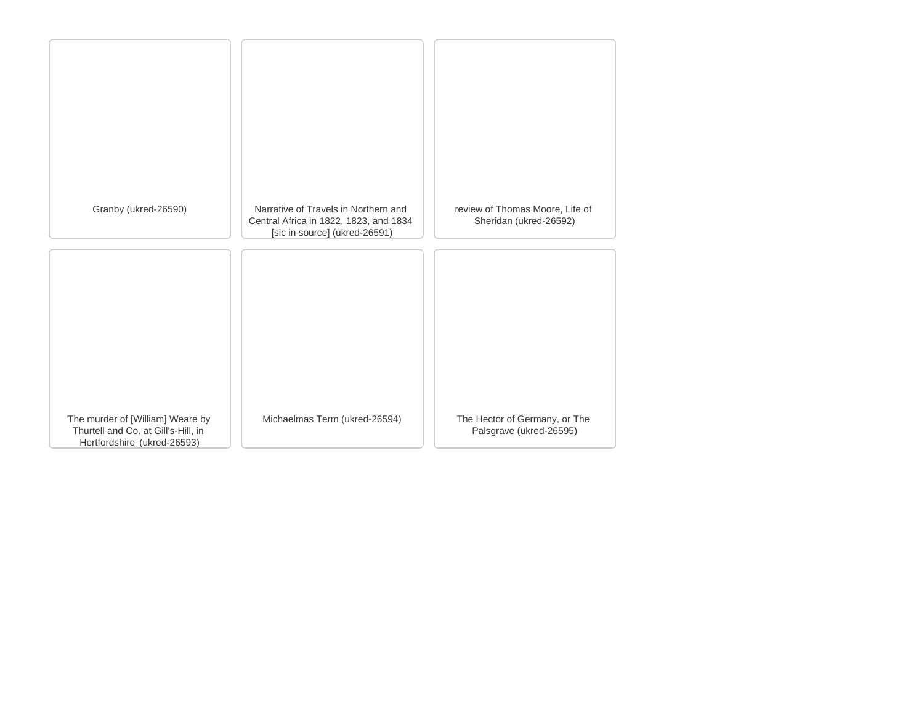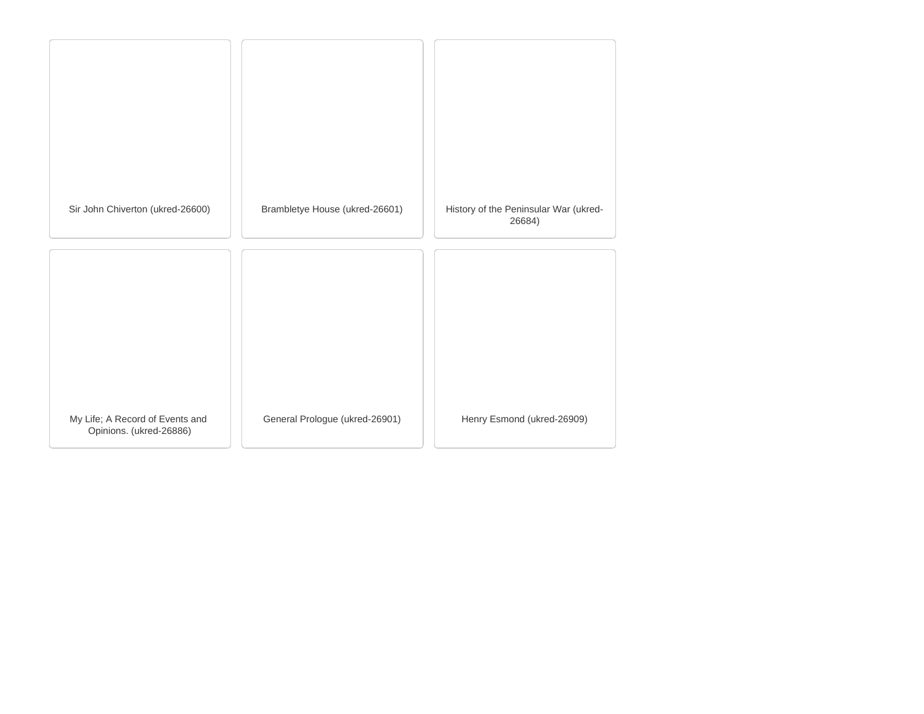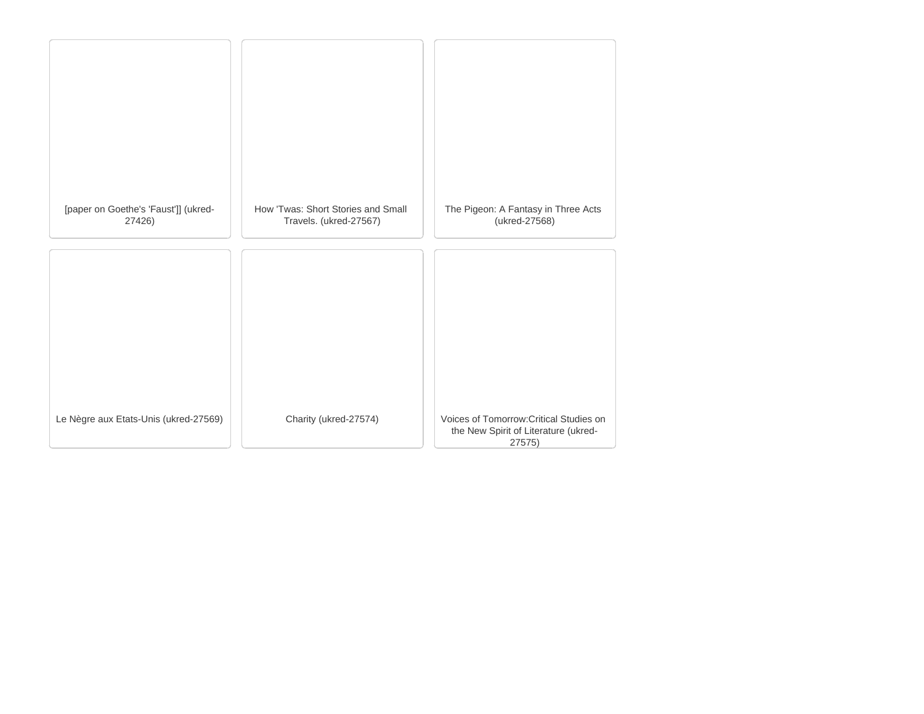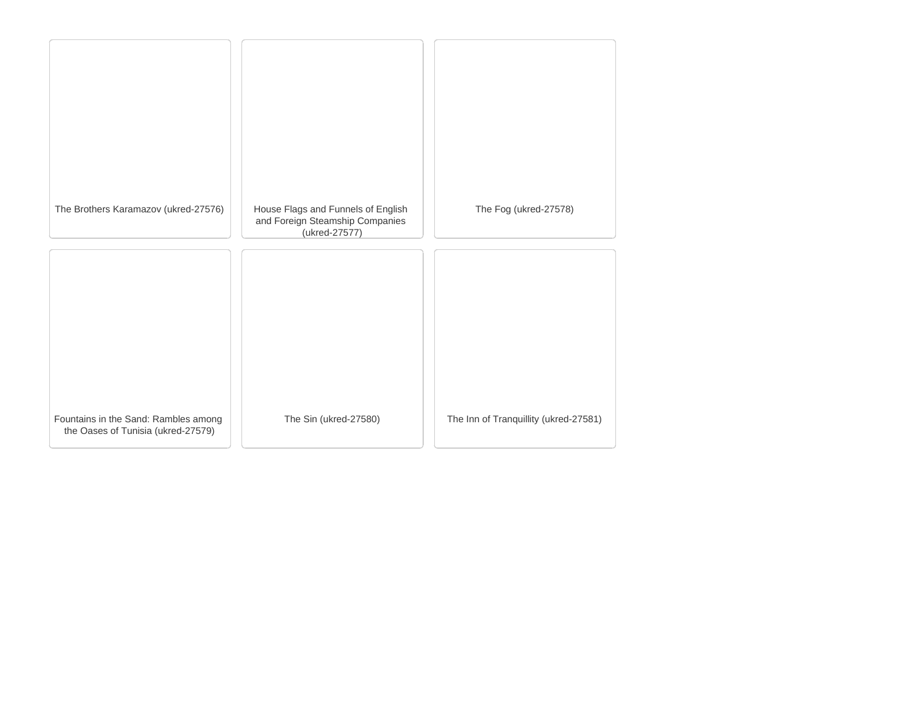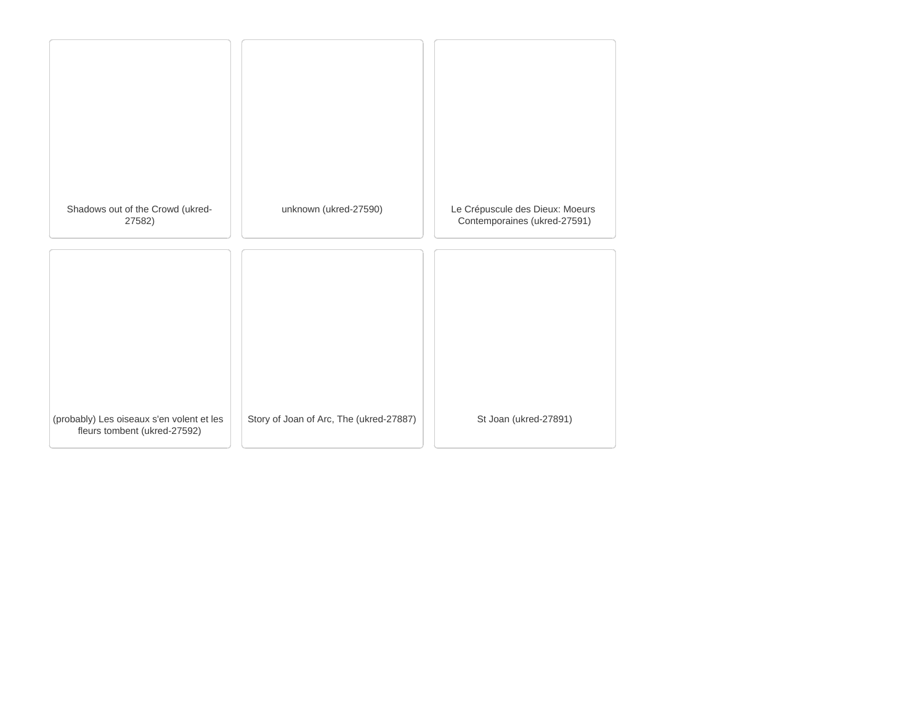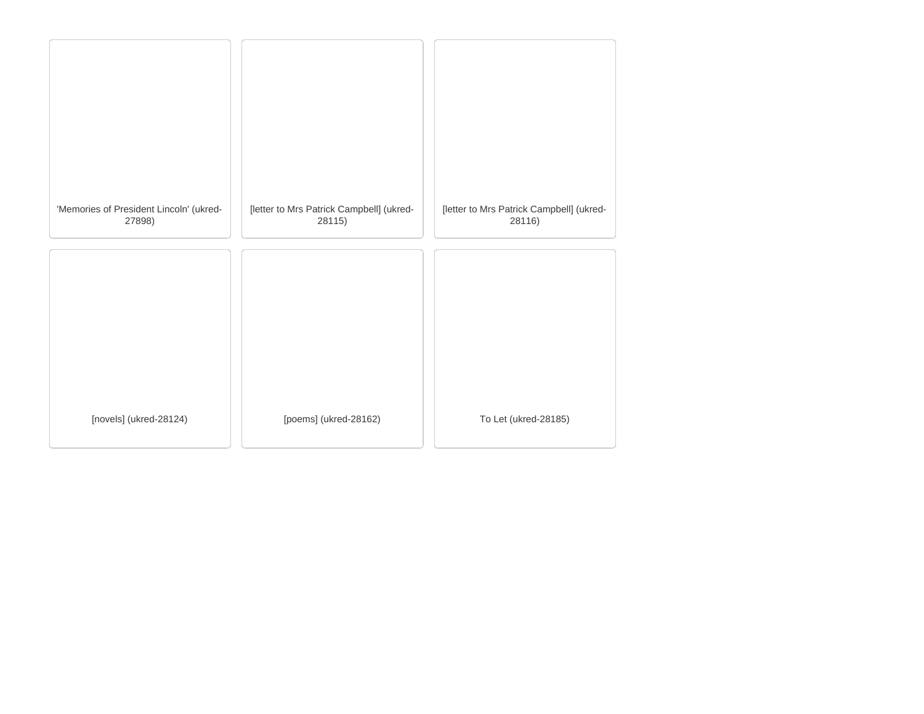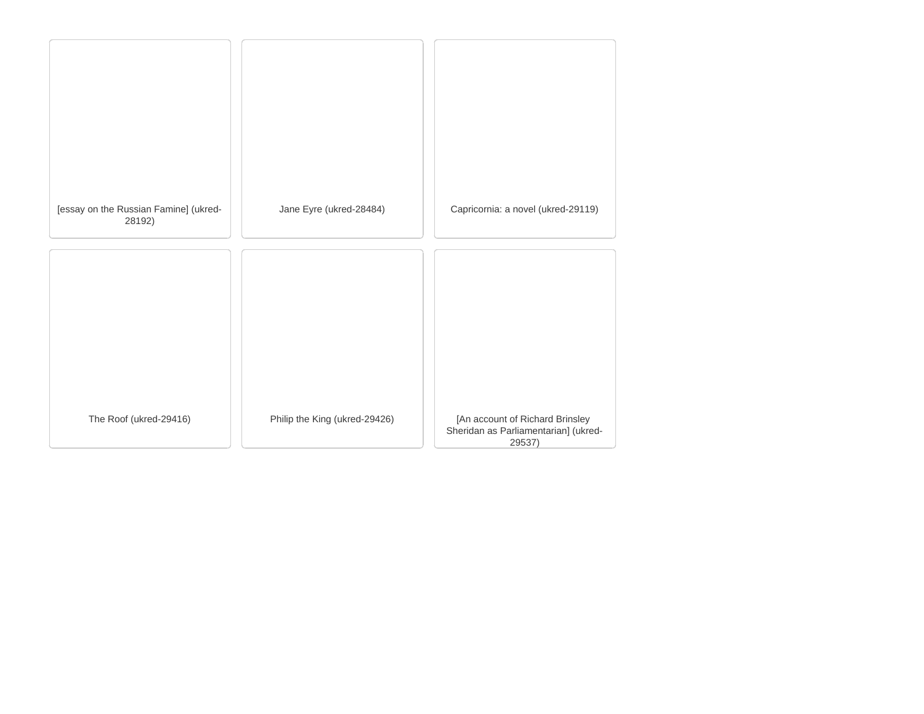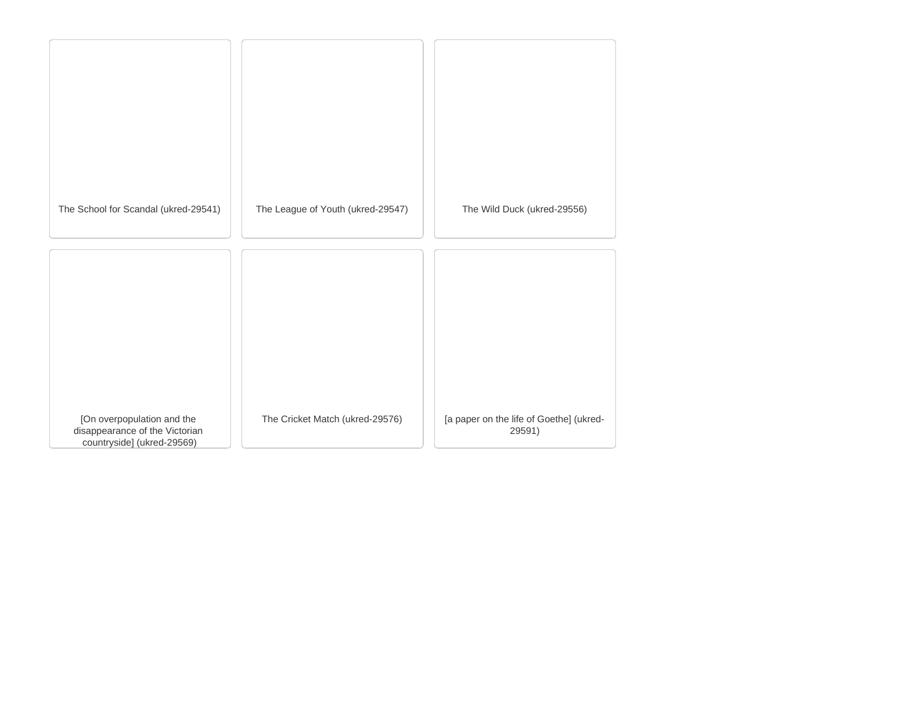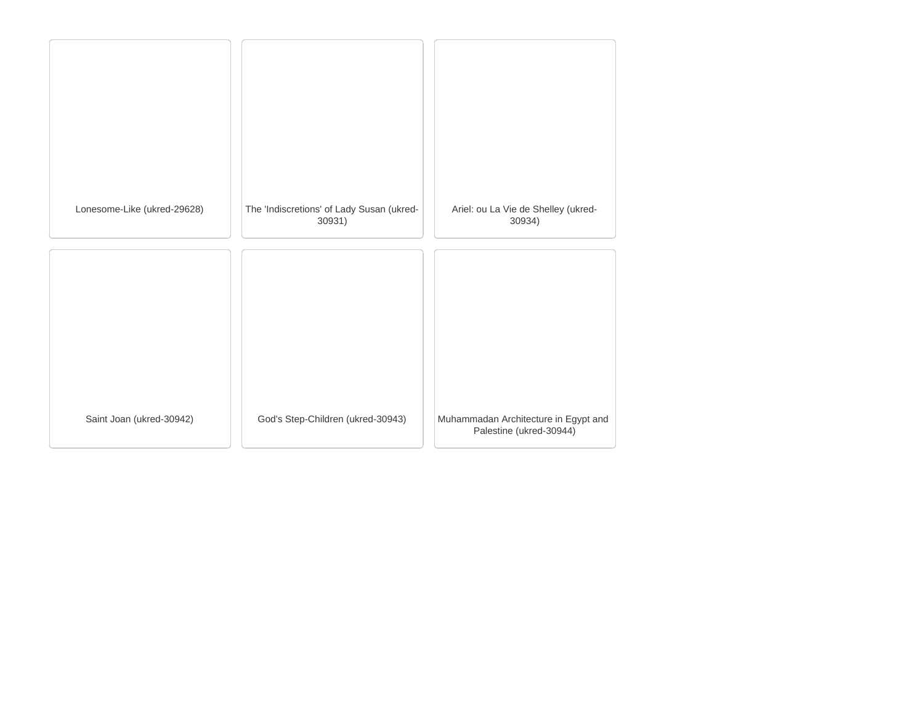| Lonesome-Like (ukred-29628) | The 'Indiscretions' of Lady Susan (ukred-<br>30931) | Ariel: ou La Vie de Shelley (ukred-<br>30934)                   |
|-----------------------------|-----------------------------------------------------|-----------------------------------------------------------------|
|                             |                                                     |                                                                 |
|                             |                                                     |                                                                 |
|                             |                                                     |                                                                 |
| Saint Joan (ukred-30942)    | God's Step-Children (ukred-30943)                   | Muhammadan Architecture in Egypt and<br>Palestine (ukred-30944) |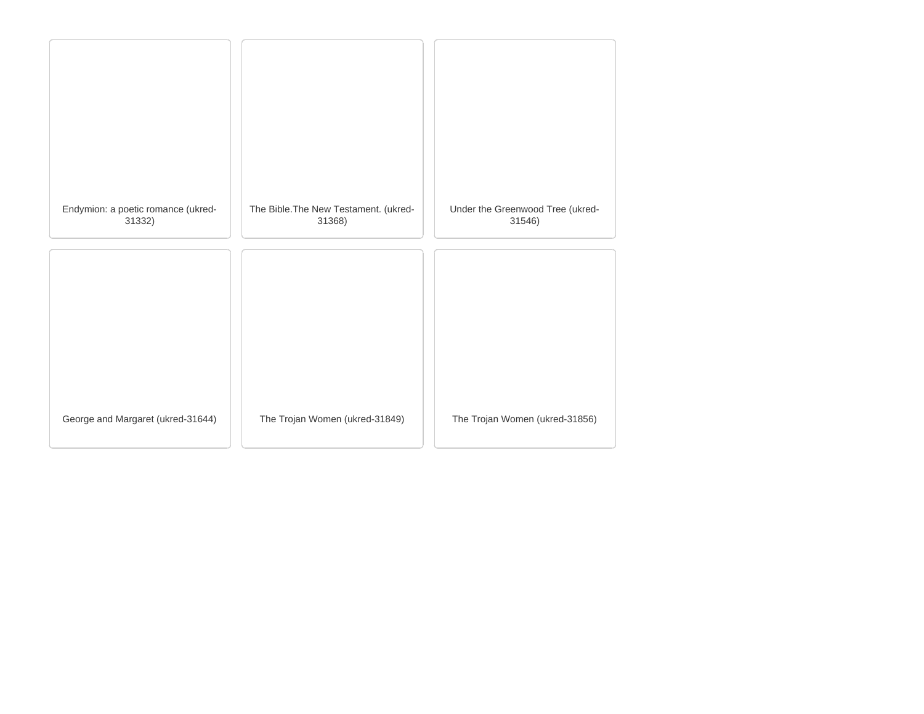| Endymion: a poetic romance (ukred-<br>31332) | The Bible. The New Testament. (ukred-<br>31368) | Under the Greenwood Tree (ukred-<br>31546) |
|----------------------------------------------|-------------------------------------------------|--------------------------------------------|
|                                              |                                                 |                                            |
|                                              |                                                 |                                            |
| George and Margaret (ukred-31644)            | The Trojan Women (ukred-31849)                  | The Trojan Women (ukred-31856)             |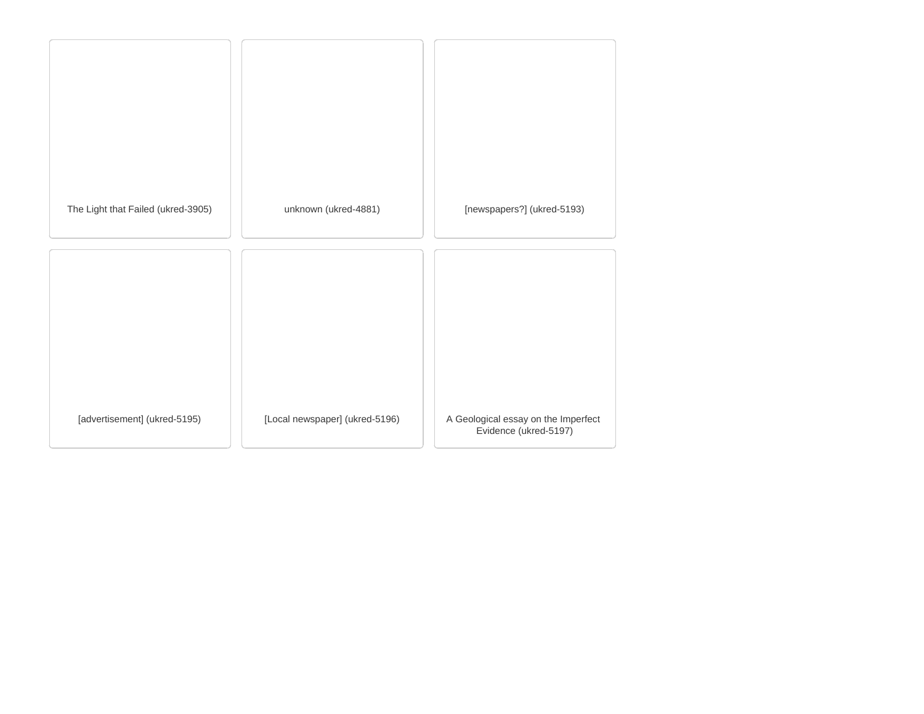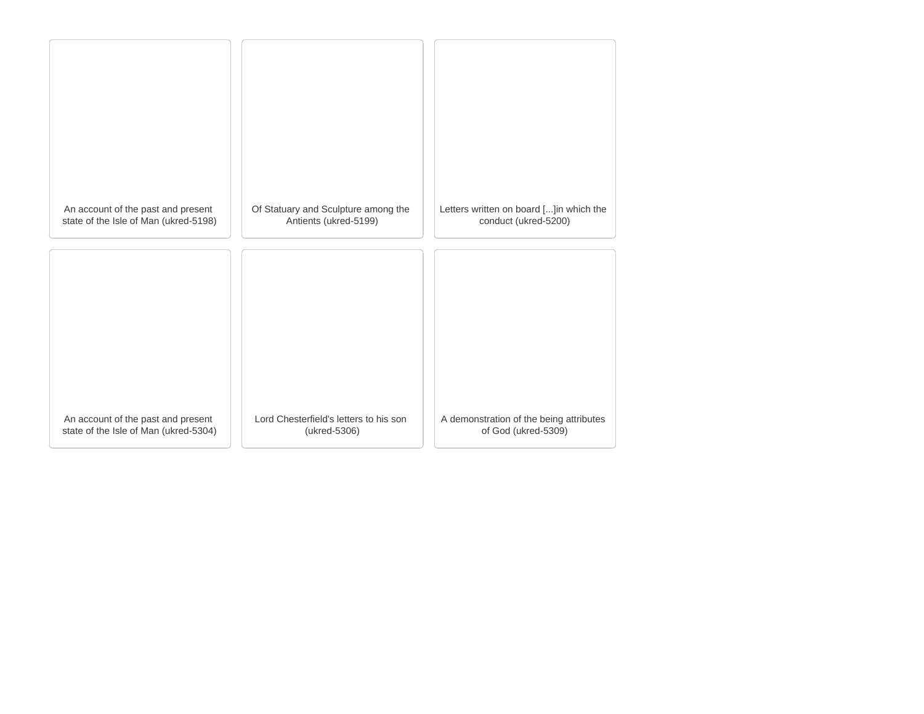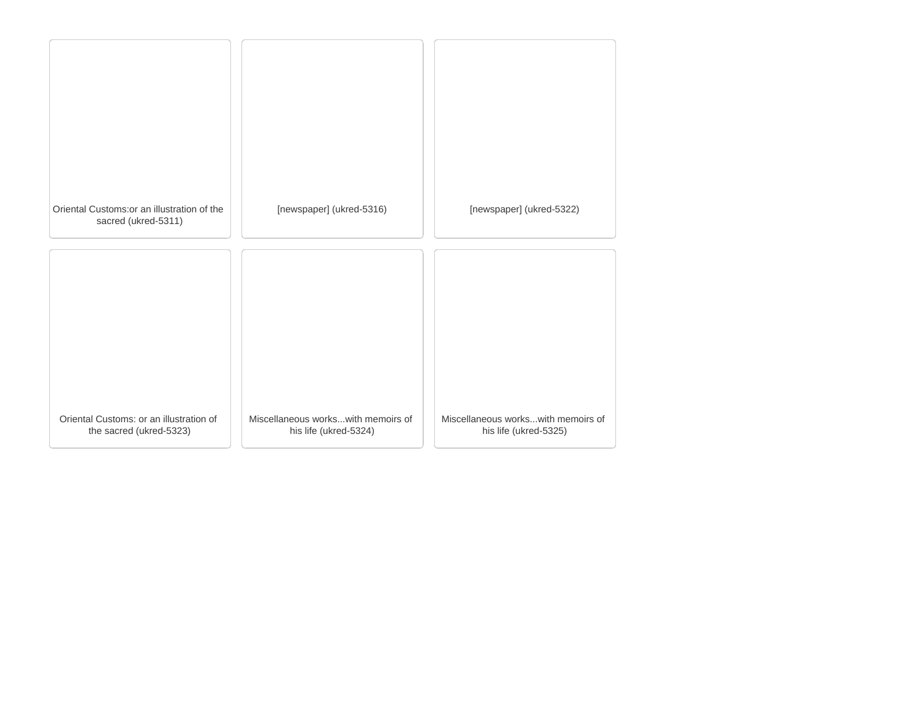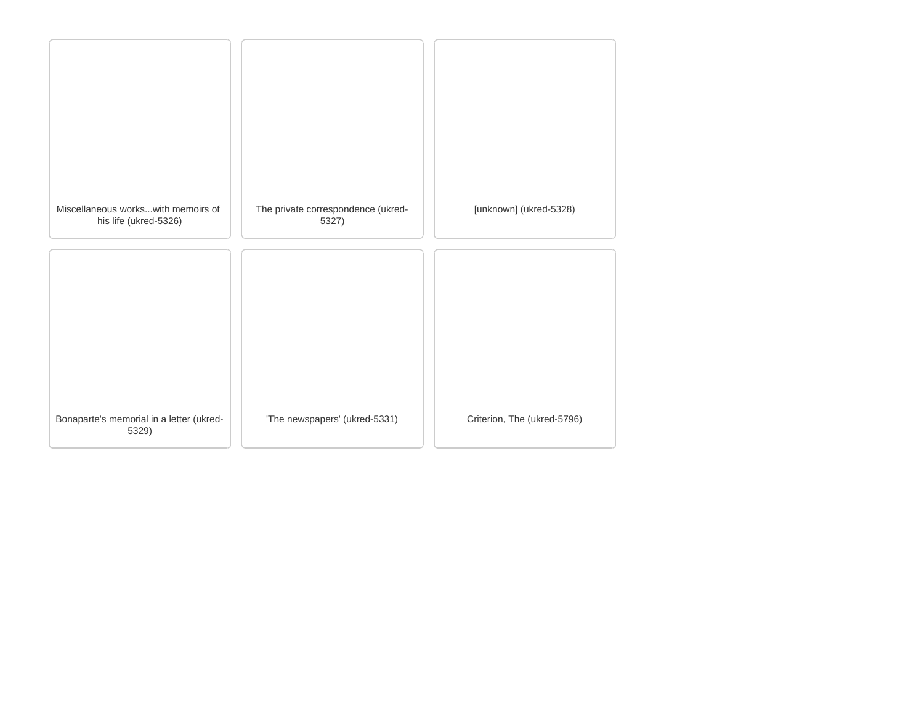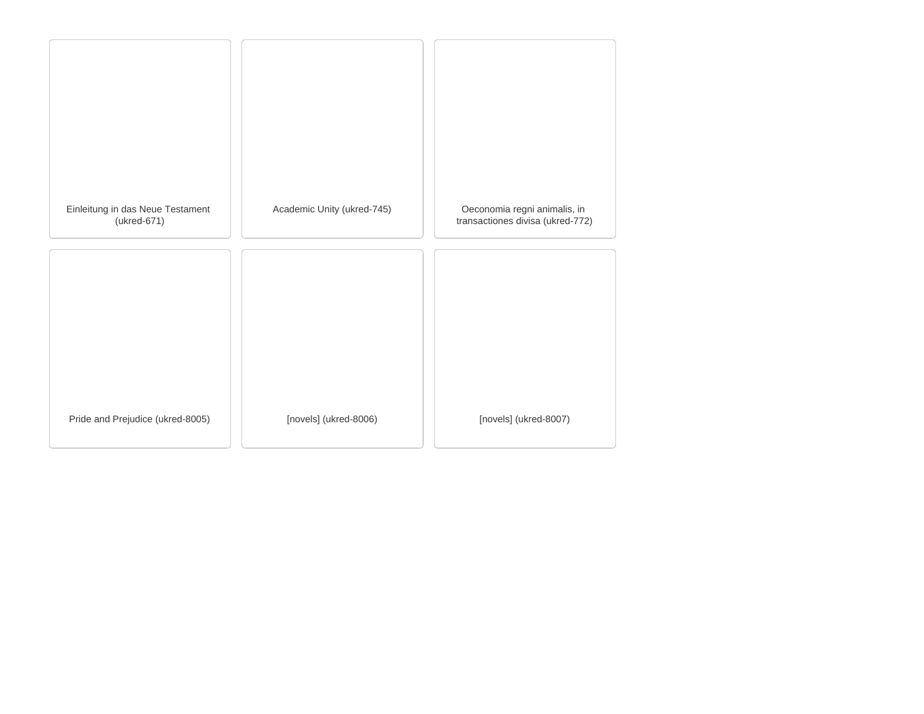